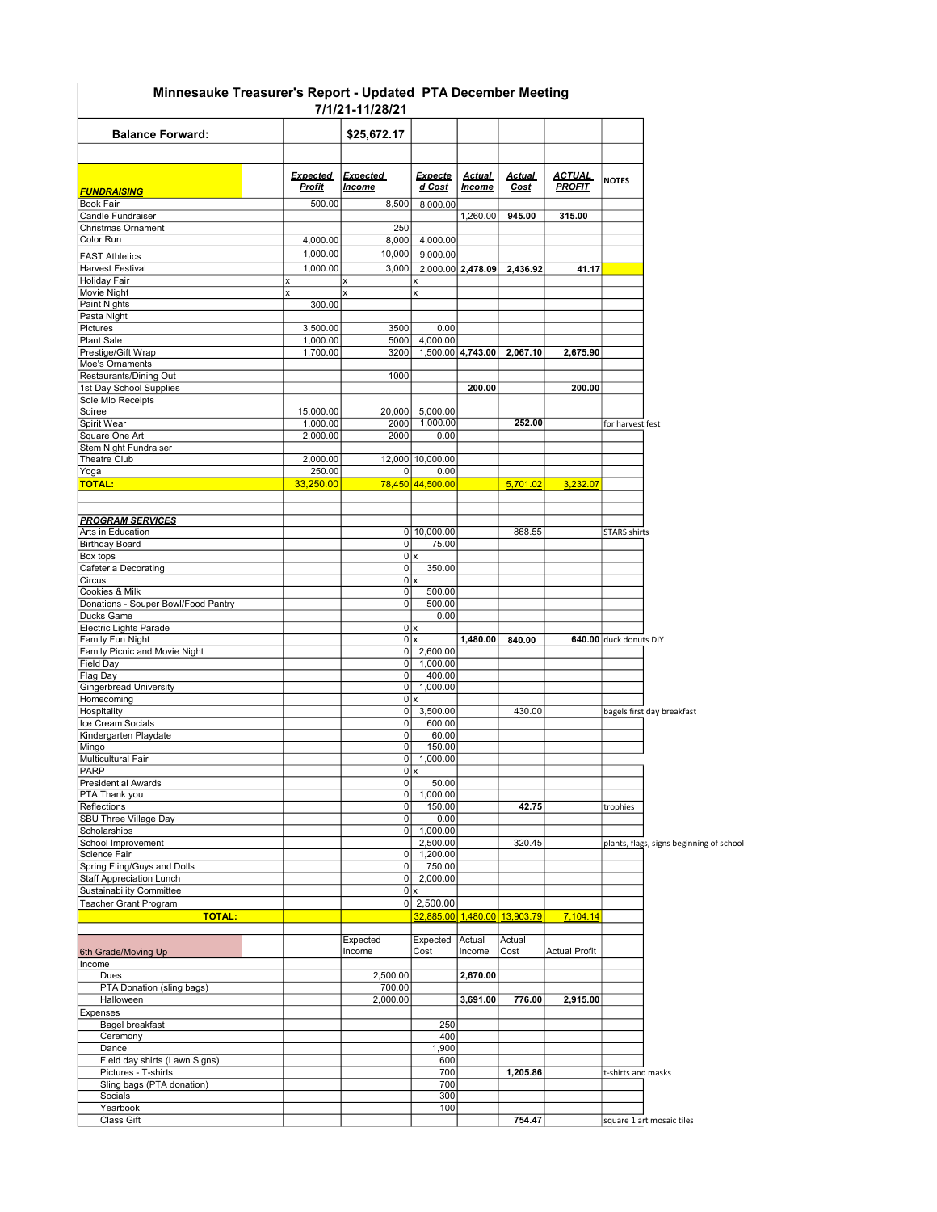## Minnesauke Treasurer's Report - Updated PTA December Meeting 7/1/21-11/28/21

|                                             |                                  |        | 77 174 1-1 174 VI 4 1            |                                      |                                |                       |                                |                        |                                          |
|---------------------------------------------|----------------------------------|--------|----------------------------------|--------------------------------------|--------------------------------|-----------------------|--------------------------------|------------------------|------------------------------------------|
| <b>Balance Forward:</b>                     |                                  |        | \$25,672.17                      |                                      |                                |                       |                                |                        |                                          |
|                                             |                                  |        |                                  |                                      |                                |                       |                                |                        |                                          |
| <b>FUNDRAISING</b>                          | <b>Expected</b><br><b>Profit</b> |        | <b>Expected</b><br><u>Income</u> | <b>Expecte</b><br>d Cost             | <b>Actual</b><br><b>Income</b> | <b>Actual</b><br>Cost | <u>ACTUAL</u><br><b>PROFIT</b> | <b>NOTES</b>           |                                          |
| Book Fair                                   |                                  | 500.00 | 8.500                            | 8,000.00                             |                                |                       |                                |                        |                                          |
| Candle Fundraiser<br>Christmas Ornament     |                                  |        | 250                              |                                      | 1,260.00                       | 945.00                | 315.00                         |                        |                                          |
| Color Run                                   | 4,000.00                         |        | 8,000                            | 4,000.00                             |                                |                       |                                |                        |                                          |
| <b>FAST Athletics</b>                       | 1,000.00                         |        | 10,000                           | 9,000.00                             |                                |                       |                                |                        |                                          |
| Harvest Festival                            | 1,000.00                         |        | 3,000                            |                                      | 2,000.00 2,478.09              | 2,436.92              | 41.17                          |                        |                                          |
| Holiday Fair                                | x                                |        |                                  | x                                    |                                |                       |                                |                        |                                          |
| Movie Night                                 | X                                |        |                                  | x                                    |                                |                       |                                |                        |                                          |
| Paint Nights<br>Pasta Night                 |                                  | 300.00 |                                  |                                      |                                |                       |                                |                        |                                          |
| Pictures                                    | 3,500.00                         |        | 3500                             | 0.00                                 |                                |                       |                                |                        |                                          |
| Plant Sale                                  | 1,000.00                         |        | 5000                             | 4,000.00                             |                                |                       |                                |                        |                                          |
| Prestige/Gift Wrap                          | 1,700.00                         |        | 3200                             |                                      | 1,500.00 4,743.00              | 2,067.10              | 2,675.90                       |                        |                                          |
| Moe's Ornaments<br>Restaurants/Dining Out   |                                  |        | 1000                             |                                      |                                |                       |                                |                        |                                          |
| 1st Day School Supplies                     |                                  |        |                                  |                                      | 200.00                         |                       | 200.00                         |                        |                                          |
| Sole Mio Receipts                           |                                  |        |                                  |                                      |                                |                       |                                |                        |                                          |
| Soiree<br>Spirit Wear                       | 15,000.00                        |        | 20,000<br>2000                   | 5,000.00<br>1,000.00                 |                                | 252.00                |                                |                        |                                          |
| Square One Art                              | 1,000.00<br>2,000.00             |        | 2000                             | 0.00                                 |                                |                       |                                | for harvest fest       |                                          |
| Stem Night Fundraiser                       |                                  |        |                                  |                                      |                                |                       |                                |                        |                                          |
| Theatre Club                                | 2.000.00                         |        |                                  | 12,000 10,000.00                     |                                |                       |                                |                        |                                          |
| Yoga                                        |                                  | 250.00 | 0                                | 0.00                                 |                                |                       |                                |                        |                                          |
| <b>TOTAL:</b>                               | 33,250.00                        |        |                                  | 78,450 44,500.00                     |                                | 5,701.02              | 3.232.07                       |                        |                                          |
| <b>PROGRAM SERVICES</b>                     |                                  |        |                                  |                                      |                                |                       |                                |                        |                                          |
| Arts in Education                           |                                  |        |                                  | 0 10,000.00                          |                                | 868.55                |                                | <b>STARS shirts</b>    |                                          |
| <b>Birthday Board</b>                       |                                  |        | 0                                | 75.00                                |                                |                       |                                |                        |                                          |
| Box tops<br>Cafeteria Decorating            |                                  |        | 0                                | 0x<br>350.00                         |                                |                       |                                |                        |                                          |
| Circus                                      |                                  |        |                                  | 0x                                   |                                |                       |                                |                        |                                          |
| Cookies & Milk                              |                                  |        | $\pmb{0}$                        | 500.00                               |                                |                       |                                |                        |                                          |
| Donations - Souper Bowl/Food Pantry         |                                  |        | 0                                | 500.00                               |                                |                       |                                |                        |                                          |
| <b>Ducks Game</b><br>Electric Lights Parade |                                  |        |                                  | 0.00<br>0x                           |                                |                       |                                |                        |                                          |
| Family Fun Night                            |                                  |        |                                  | 0x                                   | 1,480.00                       | 840.00                |                                | 640.00 duck donuts DIY |                                          |
| Family Picnic and Movie Night               |                                  |        | $\overline{0}$                   | 2,600.00                             |                                |                       |                                |                        |                                          |
| Field Day                                   |                                  |        | $\circ$                          | 1,000.00                             |                                |                       |                                |                        |                                          |
| Flag Day<br><b>Gingerbread University</b>   |                                  |        | 0<br>0                           | 400.00<br>1,000.00                   |                                |                       |                                |                        |                                          |
| Homecoming                                  |                                  |        |                                  | 0x                                   |                                |                       |                                |                        |                                          |
| Hospitality                                 |                                  |        | $\overline{0}$                   | 3,500.00                             |                                | 430.00                |                                |                        | bagels first day breakfast               |
| Ice Cream Socials                           |                                  |        | 0                                | 600.00                               |                                |                       |                                |                        |                                          |
| Kindergarten Playdate<br>Mingo              |                                  |        | $\pmb{0}$<br>$\pmb{0}$           | 60.00<br>150.00                      |                                |                       |                                |                        |                                          |
| Multicultural Fair                          |                                  |        | $\overline{0}$                   | 1,000.00                             |                                |                       |                                |                        |                                          |
| PARP                                        |                                  |        |                                  | 0x                                   |                                |                       |                                |                        |                                          |
| Presidential Awards                         |                                  |        | $\overline{0}$                   | 50.00                                |                                |                       |                                |                        |                                          |
| PTA Thank you<br>Reflections                |                                  |        | 0<br>0                           | 1,000.00<br>150.00                   |                                | 42.75                 |                                | trophies               |                                          |
| SBU Three Village Day                       |                                  |        | 0                                | 0.00                                 |                                |                       |                                |                        |                                          |
| Scholarships                                |                                  |        | $\overline{0}$                   | 1,000.00                             |                                |                       |                                |                        |                                          |
| School Improvement                          |                                  |        |                                  | 2,500.00                             |                                | 320.45                |                                |                        | plants, flags, signs beginning of school |
| Science Fair<br>Spring Fling/Guys and Dolls |                                  |        | 0<br>$\pmb{0}$                   | 1,200.00<br>750.00                   |                                |                       |                                |                        |                                          |
| <b>Staff Appreciation Lunch</b>             |                                  |        | $\overline{0}$                   | 2,000.00                             |                                |                       |                                |                        |                                          |
| <b>Sustainability Committee</b>             |                                  |        |                                  | 0x                                   |                                |                       |                                |                        |                                          |
| Teacher Grant Program<br><b>TOTAL:</b>      |                                  |        |                                  | $0$   2,500.00<br>32.885.00 1,480.00 |                                | 13,903.79             | 7,104.14                       |                        |                                          |
|                                             |                                  |        |                                  |                                      |                                |                       |                                |                        |                                          |
| 6th Grade/Moving Up                         |                                  |        | Expected<br>Income               | Expected<br>Cost                     | Actual<br>Income               | Actual<br>Cost        | <b>Actual Profit</b>           |                        |                                          |
| Income                                      |                                  |        |                                  |                                      |                                |                       |                                |                        |                                          |
| Dues<br>PTA Donation (sling bags)           |                                  |        | 2,500.00<br>700.00               |                                      | 2,670.00                       |                       |                                |                        |                                          |
| Halloween                                   |                                  |        | 2,000.00                         |                                      | 3,691.00                       | 776.00                | 2,915.00                       |                        |                                          |
| Expenses                                    |                                  |        |                                  |                                      |                                |                       |                                |                        |                                          |
| Bagel breakfast                             |                                  |        |                                  | 250                                  |                                |                       |                                |                        |                                          |
| Ceremony                                    |                                  |        |                                  | 400                                  |                                |                       |                                |                        |                                          |
| Dance<br>Field day shirts (Lawn Signs)      |                                  |        |                                  | 1,900<br>600                         |                                |                       |                                |                        |                                          |
| Pictures - T-shirts                         |                                  |        |                                  | 700                                  |                                | 1,205.86              |                                | t-shirts and masks     |                                          |
| Sling bags (PTA donation)                   |                                  |        |                                  | 700                                  |                                |                       |                                |                        |                                          |
| Socials                                     |                                  |        |                                  | 300                                  |                                |                       |                                |                        |                                          |
| Yearbook<br>Class Gift                      |                                  |        |                                  | 100                                  |                                | 754.47                |                                |                        | square 1 art mosaic tiles                |
|                                             |                                  |        |                                  |                                      |                                |                       |                                |                        |                                          |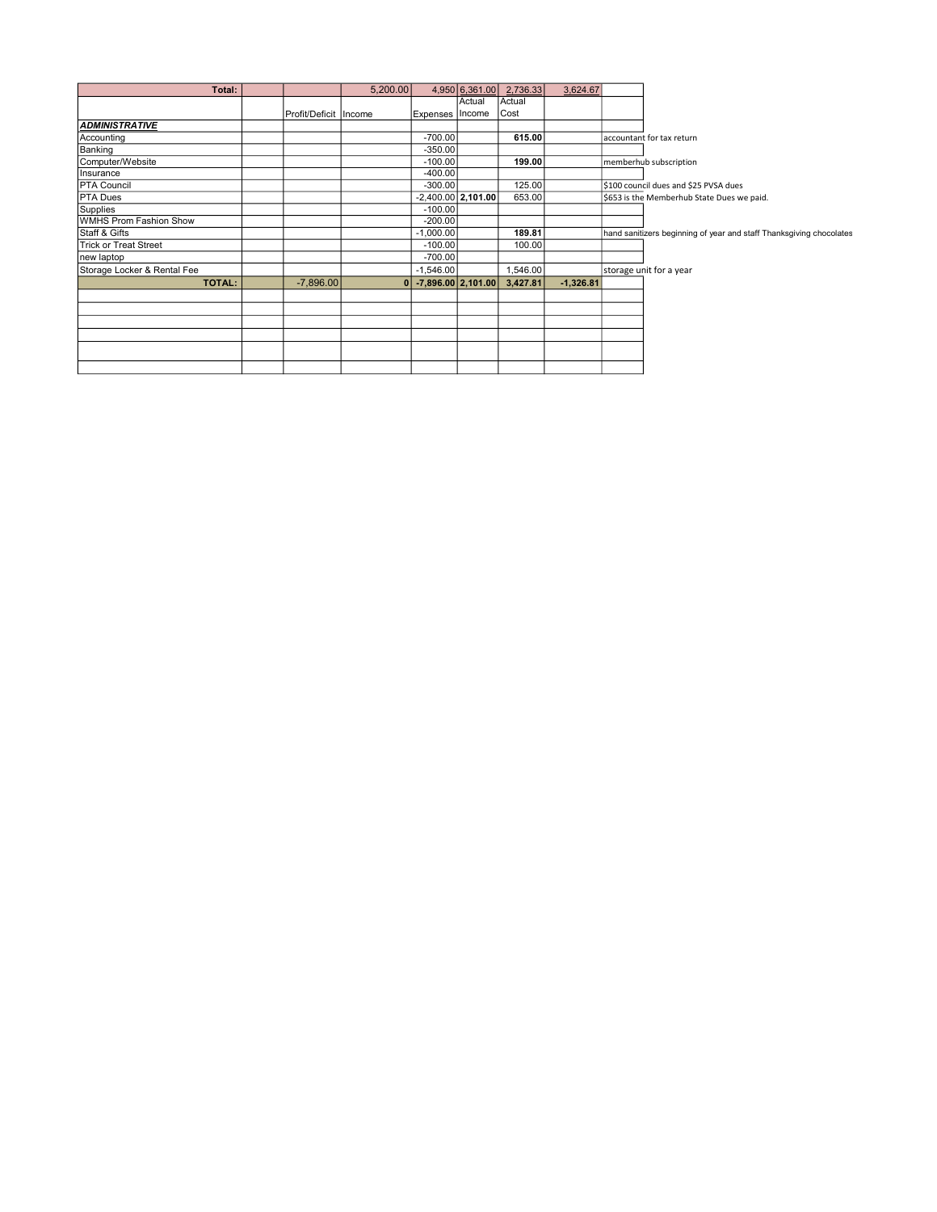| Total:                      |                         | 5,200.00     |                      | 4,950 6,361.00       | 2,736.33 | 3,624.67    |                                                                     |
|-----------------------------|-------------------------|--------------|----------------------|----------------------|----------|-------------|---------------------------------------------------------------------|
|                             |                         |              |                      | Actual               | Actual   |             |                                                                     |
|                             | Profit/Deficit   Income |              | Expenses Income      |                      | Cost     |             |                                                                     |
| <b>ADMINISTRATIVE</b>       |                         |              |                      |                      |          |             |                                                                     |
| Accounting                  |                         |              | $-700.00$            |                      | 615.00   |             | laccountant for tax return                                          |
| Banking                     |                         |              | $-350.00$            |                      |          |             |                                                                     |
| Computer/Website            |                         |              | $-100.00$            |                      | 199.00   |             | memberhub subscription                                              |
| Insurance                   |                         |              | $-400.00$            |                      |          |             |                                                                     |
| <b>PTA Council</b>          |                         |              | $-300.00$            |                      | 125.00   |             | \$100 council dues and \$25 PVSA dues                               |
| <b>PTA Dues</b>             |                         |              |                      | $-2,400.00$ 2,101.00 | 653.00   |             | \$653 is the Memberhub State Dues we paid.                          |
| Supplies                    |                         |              | $-100.00$            |                      |          |             |                                                                     |
| WMHS Prom Fashion Show      |                         |              | $-200.00$            |                      |          |             |                                                                     |
| <b>Staff &amp; Gifts</b>    |                         |              | $-1,000.00$          |                      | 189.81   |             | hand sanitizers beginning of year and staff Thanksgiving chocolates |
| Trick or Treat Street       |                         |              | $-100.00$            |                      | 100.00   |             |                                                                     |
| new laptop                  |                         |              | $-700.00$            |                      |          |             |                                                                     |
| Storage Locker & Rental Fee |                         |              | $-1,546.00$          |                      | 1,546.00 |             | storage unit for a year                                             |
| <b>TOTAL:</b>               | $-7.896.00$             | $\mathbf{0}$ | $-7,896.00$ 2,101.00 |                      | 3,427.81 | $-1,326.81$ |                                                                     |
|                             |                         |              |                      |                      |          |             |                                                                     |
|                             |                         |              |                      |                      |          |             |                                                                     |
|                             |                         |              |                      |                      |          |             |                                                                     |
|                             |                         |              |                      |                      |          |             |                                                                     |
|                             |                         |              |                      |                      |          |             |                                                                     |
|                             |                         |              |                      |                      |          |             |                                                                     |
|                             |                         |              |                      |                      |          |             |                                                                     |